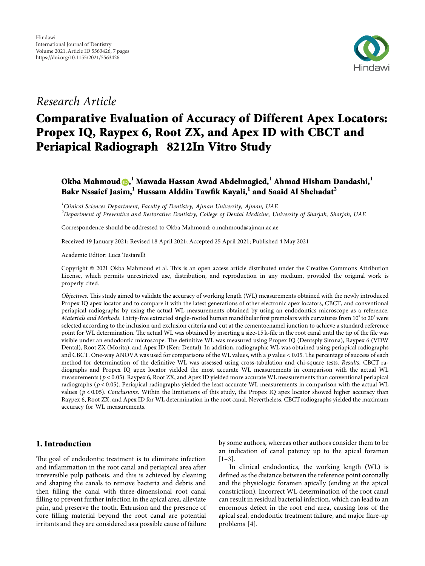

## Research Article

# Comparative Evaluation of Accuracy of Different Apex Locators: Propex IQ, Raypex 6, Root ZX, and Apex ID with CBCT and Periapical Radiograph 8212In Vitro Study

### Okba Mahmoud  $\textcolor{red}{\bullet,}^{\textcolor{blue}{1}}$  Mawada Hassan Awad Abdelmagied, $^{\textcolor{blue}{1}}$  Ahmad Hisham Dandashi, $^{\textcolor{blue}{1}}$ Bakr Nssaief Jasim, $^{\rm l}$  Hussam Alddin Tawfik Kayali, $^{\rm l}$  and Saaid Al Shehadat $^{\rm 2}$

<sup>1</sup>Clinical Sciences Department, Faculty of Dentistry, Ajman University, Ajman, UAE  ${}^{2}$ Department of Preventive and Restorative Dentistry, College of Dental Medicine, University of Sharjah, Sharjah, UAE

Correspondence should be addressed to Okba Mahmoud; [o.mahmoud@ajman.ac.ae](mailto:o.mahmoud@ajman.ac.ae)

Received 19 January 2021; Revised 18 April 2021; Accepted 25 April 2021; Published 4 May 2021

Academic Editor: Luca Testarelli

Copyright © 2021 Okba Mahmoud et al. This is an open access article distributed under the [Creative Commons Attribution](https://creativecommons.org/licenses/by/4.0/) [License,](https://creativecommons.org/licenses/by/4.0/) which permits unrestricted use, distribution, and reproduction in any medium, provided the original work is properly cited.

Objectives. This study aimed to validate the accuracy of working length (WL) measurements obtained with the newly introduced Propex IQ apex locator and to compare it with the latest generations of other electronic apex locators, CBCT, and conventional periapical radiographs by using the actual WL measurements obtained by using an endodontics microscope as a reference. *Materials and Methods*. Thirty-five extracted single-rooted human mandibular first premolars with curvatures from 10° to 20° were selected according to the inclusion and exclusion criteria and cut at the cementoenamel junction to achieve a standard reference point for WL determination. The actual WL was obtained by inserting a size-15 k-file in the root canal until the tip of the file was visible under an endodontic microscope. The definitive WL was measured using Propex IQ (Dentsply Sirona), Raypex 6 (VDW Dental), Root ZX (Morita), and Apex ID (Kerr Dental). In addition, radiographic WL was obtained using periapical radiographs and CBCT. One-way ANOVA was used for comparisons of the WL values, with a  $p$  value  $< 0.05$ . The percentage of success of each method for determination of the definitive WL was assessed using cross-tabulation and chi-square tests. Results. CBCT radiographs and Propex IQ apex locator yielded the most accurate WL measurements in comparison with the actual WL measurements (*p* < 0*.*05). Raypex 6, Root ZX, and Apex ID yielded more accurate WL measurements than conventional periapical radiographs (*p* < 0*.*05). Periapical radiographs yielded the least accurate WL measurements in comparison with the actual WL values ( $p$  < 0.05). Conclusions. Within the limitations of this study, the Propex IQ apex locator showed higher accuracy than Raypex 6, Root ZX, and Apex ID for WL determination in the root canal. Nevertheless, CBCT radiographs yielded the maximum accuracy for WL measurements.

#### 1. Introduction

The goal of endodontic treatment is to eliminate infection and inflammation in the root canal and periapical area after irreversible pulp pathosis, and this is achieved by cleaning and shaping the canals to remove bacteria and debris and then filling the canal with three-dimensional root canal filling to prevent further infection in the apical area, alleviate pain, and preserve the tooth. Extrusion and the presence of core filling material beyond the root canal are potential irritants and they are considered as a possible cause of failure

by some authors, whereas other authors consider them to be an indication of canal patency up to the apical foramen  $[1-3]$  $[1-3]$ .

In clinical endodontics, the working length (WL) is defined as the distance between the reference point coronally and the physiologic foramen apically (ending at the apical constriction). Incorrect WL determination of the root canal can result in residual bacterial infection, which can lead to an enormous defect in the root end area, causing loss of the apical seal, endodontic treatment failure, and major flare-up problems [\[4](#page-6-0)].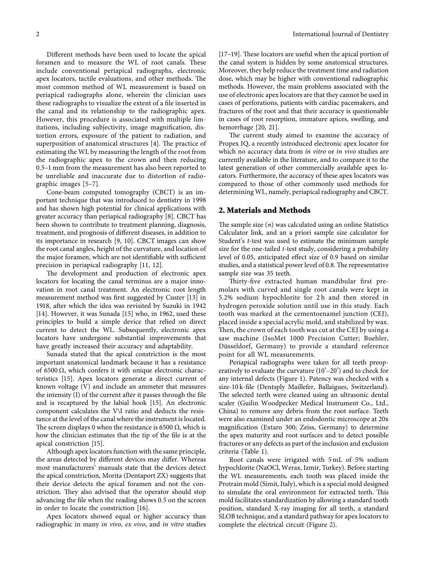Different methods have been used to locate the apical foramen and to measure the WL of root canals. These include conventional periapical radiographs, electronic apex locators, tactile evaluations, and other methods. The most common method of WL measurement is based on periapical radiographs alone, wherein the clinician uses these radiographs to visualize the extent of a file inserted in the canal and its relationship to the radiographic apex. However, this procedure is associated with multiple limitations, including subjectivity, image magnification, distortion errors, exposure of the patient to radiation, and superposition of anatomical structures  $[4]$ . The practice of estimating the WL by measuring the length of the root from the radiographic apex to the crown and then reducing 0.5–1 mm from the measurement has also been reported to be unreliable and inaccurate due to distortion of radiographic images [\[5–7](#page-6-0)].

Cone-beam computed tomography (CBCT) is an important technique that was introduced to dentistry in 1998 and has shown high potential for clinical applications with greater accuracy than periapical radiography[[8\]](#page-6-0). CBCT has been shown to contribute to treatment planning, diagnosis, treatment, and prognosis of different diseases, in addition to its importance in research[[9, 10\]](#page-6-0). CBCT images can show the root canal angles, height of the curvature, and location of the major foramen, which are not identifiable with sufficient precision in periapical radiography[[11, 12\]](#page-6-0).

The development and production of electronic apex locators for locating the canal terminus are a major innovation in root canal treatment. An electronic root length measurement method was first suggested by Custer [\[13](#page-6-0)] in 1918, after which the idea was revisited by Suzuki in 1942 [\[14](#page-6-0)]. However, it was Sunada[[15\]](#page-6-0) who, in 1962, used these principles to build a simple device that relied on direct current to detect the WL. Subsequently, electronic apex locators have undergone substantial improvements that have greatly increased their accuracy and adaptability.

Sunada stated that the apical constriction is the most important anatomical landmark because it has a resistance of 6500 Ω, which confers it with unique electronic characteristics [\[15](#page-6-0)]. Apex locators generate a direct current of known voltage (V) and include an ammeter that measures the intensity (I) of the current after it passes through the file and is recaptured by the labial hook [\[15](#page-6-0)]. An electronic component calculates the V\I ratio and deducts the resistance at the level of the canal where the instrument is located. The screen displays 0 when the resistance is 6500  $\Omega$ , which is how the clinician estimates that the tip of the file is at the apical constriction[[15\]](#page-6-0).

Although apex locators function with the same principle, the areas detected by different devices may differ. Whereas most manufacturers' manuals state that the devices detect the apical constriction, Morita (Dentaport ZX) suggests that their device detects the apical foramen and not the constriction. They also advised that the operator should stop advancing the file when the reading shows 0.5 on the screen in order to locate the constriction[[16\]](#page-6-0).

Apex locators showed equal or higher accuracy than radiographic in many in vivo, ex vivo, and in vitro studies

 $[17–19]$  $[17–19]$  $[17–19]$ . These locators are useful when the apical portion of the canal system is hidden by some anatomical structures. Moreover, they help reduce the treatment time and radiation dose, which may be higher with conventional radiographic methods. However, the main problems associated with the use of electronic apex locators are that they cannot be used in cases of perforations, patients with cardiac pacemakers, and fractures of the root and that their accuracy is questionable in cases of root resorption, immature apices, swelling, and hemorrhage[[20](#page-6-0), [21\]](#page-6-0).

The current study aimed to examine the accuracy of Propex IQ, a recently introduced electronic apex locator for which no accuracy data from in vitro or in vivo studies are currently available in the literature, and to compare it to the latest generation of other commercially available apex locators. Furthermore, the accuracy of these apex locators was compared to those of other commonly used methods for determining WL, namely, periapical radiography and CBCT.

#### 2. Materials and Methods

The sample size  $(n)$  was calculated using an online Statistics Calculator link, and an a priori sample size calculator for Student's t-test was used to estimate the minimum sample size for the one-tailed t-test study, considering a probability level of 0.05, anticipated effect size of 0.9 based on similar studies, and a statistical power level of 0.8. The representative sample size was 35 teeth.

Thirty-five extracted human mandibular first premolars with curved and single root canals were kept in 5.2% sodium hypochlorite for 2 h and then stored in hydrogen peroxide solution until use in this study. Each tooth was marked at the cementoenamel junction (CEJ), placed inside a special acrylic mold, and stabilized by wax. Then, the crown of each tooth was cut at the CEJ by using a saw machine (IsoMet 1000 Precision Cutter; Buehler, Düsseldorf, Germany) to provide a standard reference point for all WL measurements.

Periapical radiographs were taken for all teeth preoperatively to evaluate the curvature (10°–20°) and to check for any internal defects (Figure [1\)](#page-2-0). Patency was checked with a size-10 k-file (Dentsply Maillefer, Ballaigues, Switzerland). The selected teeth were cleaned using an ultrasonic dental scaler (Guilin Woodpecker Medical Instrument Co., Ltd., China) to remove any debris from the root surface. Teeth were also examined under an endodontic microscope at 20x magnification (Extaro 300; Zeiss, Germany) to determine the apex maturity and root surfaces and to detect possible fractures or any defects as part of the inclusion and exclusion criteria (Table [1\)](#page-2-0).

Root canals were irrigated with 5 mL of 5% sodium hypochlorite (NaOCl, Werax, Izmir, Turkey). Before starting the WL measurements, each tooth was placed inside the Protrain mold (Simit, Italy), which is a special mold designed to simulate the oral environment for extracted teeth. This mold facilitates standardization by allowing a standard tooth position, standard X-ray imaging for all teeth, a standard SLOB technique, and a standard pathway for apex locators to complete the electrical circuit (Figure [2](#page-2-0)).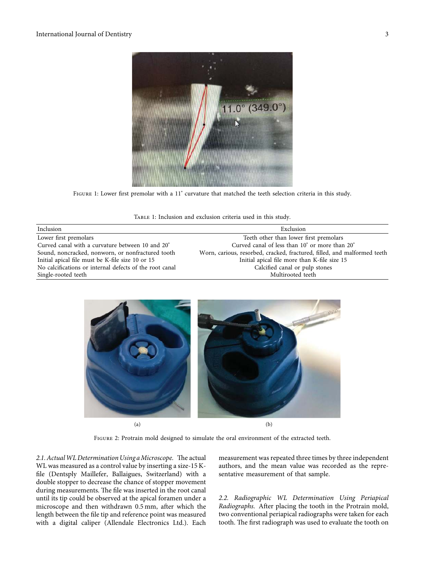<span id="page-2-0"></span>

Figure 1: Lower first premolar with a 11° curvature that matched the teeth selection criteria in this study.

| TABLE 1: Inclusion and exclusion criteria used in this study. |  |
|---------------------------------------------------------------|--|
|---------------------------------------------------------------|--|

| Inclusion                                               | Exclusion                                                                |
|---------------------------------------------------------|--------------------------------------------------------------------------|
| Lower first premolars                                   | Teeth other than lower first premolars                                   |
| Curved canal with a curvature between 10 and 20°        | Curved canal of less than 10° or more than 20°                           |
| Sound, noncracked, nonworn, or nonfractured tooth       | Worn, carious, resorbed, cracked, fractured, filled, and malformed teeth |
| Initial apical file must be K-file size 10 or 15        | Initial apical file more than K-file size 15                             |
| No calcifications or internal defects of the root canal | Calcified canal or pulp stones                                           |
| Single-rooted teeth                                     | Multirooted teeth                                                        |



 $(a)$  (b)

Figure 2: Protrain mold designed to simulate the oral environment of the extracted teeth.

2.1. Actual WL Determination Using a Microscope. The actual WL was measured as a control value by inserting a size-15 Kfile (Dentsply Maillefer, Ballaigues, Switzerland) with a double stopper to decrease the chance of stopper movement during measurements. The file was inserted in the root canal until its tip could be observed at the apical foramen under a microscope and then withdrawn 0.5 mm, after which the length between the file tip and reference point was measured with a digital caliper (Allendale Electronics Ltd.). Each

measurement was repeated three times by three independent authors, and the mean value was recorded as the representative measurement of that sample.

2.2. Radiographic WL Determination Using Periapical Radiographs. After placing the tooth in the Protrain mold, two conventional periapical radiographs were taken for each tooth. The first radiograph was used to evaluate the tooth on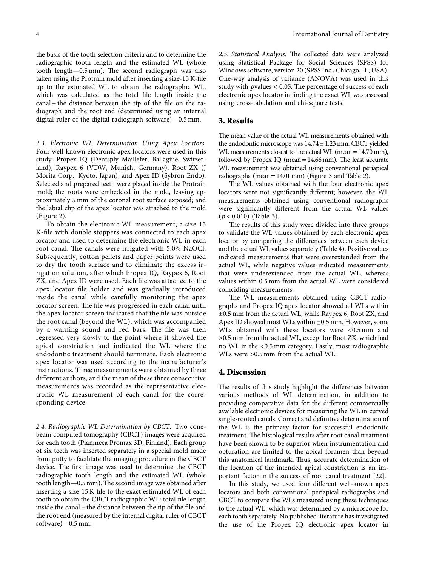the basis of the tooth selection criteria and to determine the radiographic tooth length and the estimated WL (whole tooth length $-0.5$  mm). The second radiograph was also taken using the Protrain mold after inserting a size-15 K-file up to the estimated WL to obtain the radiographic WL, which was calculated as the total file length inside the canal + the distance between the tip of the file on the radiograph and the root end (determined using an internal digital ruler of the digital radiograph software)—0.5 mm.

2.3. Electronic WL Determination Using Apex Locators. Four well-known electronic apex locators were used in this study: Propex IQ (Dentsply Maillefer, Ballagiue, Switzerland), Raypex 6 (VDW, Munich, Germany), Root ZX (J Morita Corp., Kyoto, Japan), and Apex ID (Sybron Endo). Selected and prepared teeth were placed inside the Protrain mold; the roots were embedded in the mold, leaving approximately 5 mm of the coronal root surface exposed; and the labial clip of the apex locator was attached to the mold (Figure [2](#page-2-0)).

To obtain the electronic WL measurement, a size-15 K-file with double stoppers was connected to each apex locator and used to determine the electronic WL in each root canal. The canals were irrigated with 5.0% NaOCl. Subsequently, cotton pellets and paper points were used to dry the tooth surface and to eliminate the excess irrigation solution, after which Propex IQ, Raypex 6, Root ZX, and Apex ID were used. Each file was attached to the apex locator file holder and was gradually introduced inside the canal while carefully monitoring the apex locator screen. The file was progressed in each canal until the apex locator screen indicated that the file was outside the root canal (beyond the WL), which was accompanied by a warning sound and red bars. The file was then regressed very slowly to the point where it showed the apical constriction and indicated the WL where the endodontic treatment should terminate. Each electronic apex locator was used according to the manufacturer's instructions. Three measurements were obtained by three different authors, and the mean of these three consecutive measurements was recorded as the representative electronic WL measurement of each canal for the corresponding device.

2.4. Radiographic WL Determination by CBCT. Two conebeam computed tomography (CBCT) images were acquired for each tooth (Planmeca Promax 3D, Finland). Each group of six teeth was inserted separately in a special mold made from putty to facilitate the imaging procedure in the CBCT device. The first image was used to determine the CBCT radiographic tooth length and the estimated WL (whole tooth length-0.5 mm). The second image was obtained after inserting a size-15 K-file to the exact estimated WL of each tooth to obtain the CBCT radiographic WL: total file length inside the canal + the distance between the tip of the file and the root end (measured by the internal digital ruler of CBCT software)—0.5 mm.

2.5. Statistical Analysis. The collected data were analyzed using Statistical Package for Social Sciences (SPSS) for Windows software, version 20 (SPSS Inc., Chicago, IL, USA). One-way analysis of variance (ANOVA) was used in this study with *p*values < 0.05. The percentage of success of each electronic apex locator in finding the exact WL was assessed using cross-tabulation and chi-square tests.

#### 3. Results

The mean value of the actual WL measurements obtained with the endodontic microscope was  $14.74 \pm 1.23$  mm. CBCT yielded WL measurements closest to the actual WL (mean = 14.70 mm), followed by Propex IQ (mean  $= 14.66$  mm). The least accurate WL measurement was obtained using conventional periapical radiographs (mean =  $14.01$  mm) (Figure [3](#page-4-0) and Table [2](#page-4-0)).

The WL values obtained with the four electronic apex locators were not significantly different; however, the WL measurements obtained using conventional radiographs were significantly different from the actual WL values (*p* < 0*.*010) (Table [3\)](#page-4-0).

The results of this study were divided into three groups to validate the WL values obtained by each electronic apex locator by comparing the differences between each device and the actual WL values separately (Table [4](#page-5-0)). Positive values indicated measurements that were overextended from the actual WL, while negative values indicated measurements that were underextended from the actual WL, whereas values within 0.5 mm from the actual WL were considered coinciding measurements.

The WL measurements obtained using CBCT radiographs and Propex IQ apex locator showed all WLs within ±0.5 mm from the actual WL, while Raypex 6, Root ZX, and Apex ID showed most WLs within ±0.5 mm. However, some WLs obtained with these locators were <0.5 mm and >0.5 mm from the actual WL, except for Root ZX, which had no WL in the <0.5 mm category. Lastly, most radiographic WLs were >0.5 mm from the actual WL.

#### 4. Discussion

The results of this study highlight the differences between various methods of WL determination, in addition to providing comparative data for the different commercially available electronic devices for measuring the WL in curved single-rooted canals. Correct and definitive determination of the WL is the primary factor for successful endodontic treatment. The histological results after root canal treatment have been shown to be superior when instrumentation and obturation are limited to the apical foramen than beyond this anatomical landmark. Thus, accurate determination of the location of the intended apical constriction is an important factor in the success of root canal treatment [\[22\]](#page-6-0).

In this study, we used four different well-known apex locators and both conventional periapical radiographs and CBCT to compare the WLs measured using these techniques to the actual WL, which was determined by a microscope for each tooth separately. No published literature has investigated the use of the Propex IQ electronic apex locator in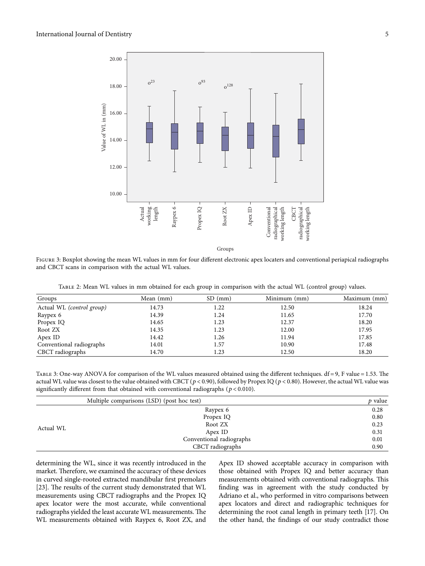<span id="page-4-0"></span>

FIGURE 3: Boxplot showing the mean WL values in mm for four different electronic apex locaters and conventional periapical radiographs and CBCT scans in comparison with the actual WL values.

Table 2: Mean WL values in mm obtained for each group in comparison with the actual WL (control group) values.

| Groups                    | Mean (mm) | $SD$ (mm) | Minimum (mm) | Maximum (mm) |
|---------------------------|-----------|-----------|--------------|--------------|
| Actual WL (control group) | 14.73     | 1.22      | 12.50        | 18.24        |
| Raypex 6                  | 14.39     | 1.24      | 11.65        | 17.70        |
| Propex IQ                 | 14.65     | 1.23      | 12.37        | 18.20        |
| Root ZX                   | 14.35     | 1.23      | 12.00        | 17.95        |
| Apex ID                   | 14.42     | 1.26      | 11.94        | 17.85        |
| Conventional radiographs  | 14.01     | 1.57      | 10.90        | 17.48        |
| CBCT radiographs          | 14.70     | 1.23      | 12.50        | 18.20        |
|                           |           |           |              |              |

TABLE 3: One-way ANOVA for comparison of the WL values measured obtained using the different techniques.  $df = 9$ , F value = 1.53. The actual WL value was closest to the value obtained with CBCT ( $p$  < 0.90), followed by Propex IQ ( $p$  < 0.80). However, the actual WL value was significantly different from that obtained with conventional radiographs (*p* < 0*.*010).

|           | Multiple comparisons (LSD) (post hoc test) | p value |
|-----------|--------------------------------------------|---------|
| Actual WL | Raypex 6                                   | 0.28    |
|           | Propex IQ                                  | 0.80    |
|           | Root ZX                                    | 0.23    |
|           | Apex ID                                    | 0.31    |
|           | Conventional radiographs                   | 0.01    |
|           | CBCT radiographs                           | 0.90    |

determining the WL, since it was recently introduced in the market. Therefore, we examined the accuracy of these devices in curved single-rooted extracted mandibular first premolars [\[23\]](#page-6-0). The results of the current study demonstrated that WL measurements using CBCT radiographs and the Propex IQ apex locator were the most accurate, while conventional radiographs yielded the least accurate WL measurements. The WL measurements obtained with Raypex 6, Root ZX, and

Apex ID showed acceptable accuracy in comparison with those obtained with Propex IQ and better accuracy than measurements obtained with conventional radiographs. This finding was in agreement with the study conducted by Adriano et al., who performed in vitro comparisons between apex locators and direct and radiographic techniques for determining the root canal length in primary teeth[[17\]](#page-6-0). On the other hand, the findings of our study contradict those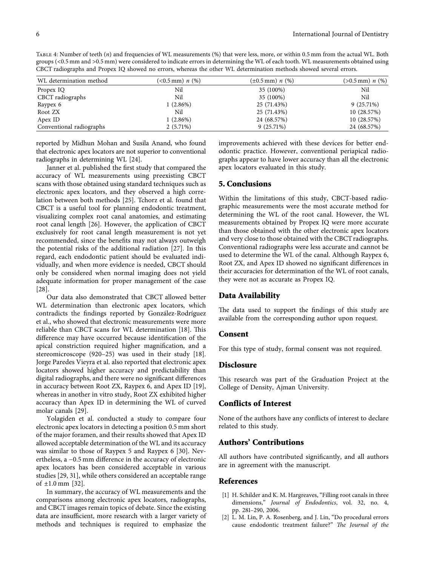<span id="page-5-0"></span>Table 4: Number of teeth (n) and frequencies of WL measurements (%) that were less, more, or within 0.5 mm from the actual WL. Both groups (<0.5 mm and >0.5 mm) were considered to indicate errors in determining the WL of each tooth. WL measurements obtained using CBCT radiographs and Propex IQ showed no errors, whereas the other WL determination methods showed several errors.

| WL determination method  | $(<0.5$ mm) n $(\%)$ | $(\pm 0.5 \,\mathrm{mm}) n$ (%) | $(>0.5$ mm) n $(\%)$ |
|--------------------------|----------------------|---------------------------------|----------------------|
| Propex IQ                | Nil                  | 35 (100%)                       | Nil                  |
| CBCT radiographs         | Nil                  | 35 (100%)                       | Nil                  |
| Raypex 6                 | 1(2.86%)             | 25 (71.43%)                     | $9(25.71\%)$         |
| Root ZX                  | Nil                  | 25 (71.43%)                     | 10(28.57%)           |
| Apex ID                  | 1(2.86%)             | 24 (68.57%)                     | 10(28.57%)           |
| Conventional radiographs | $2(5.71\%)$          | $9(25.71\%)$                    | 24 (68.57%)          |
|                          |                      |                                 |                      |

reported by Midhun Mohan and Susila Anand, who found that electronic apex locators are not superior to conventional radiographs in determining WL[[24](#page-6-0)].

Janner et al. published the first study that compared the accuracy of WL measurements using preexisting CBCT scans with those obtained using standard techniques such as electronic apex locators, and they observed a high correlation between both methods [\[25\]](#page-6-0). Tchorz et al. found that CBCT is a useful tool for planning endodontic treatment, visualizing complex root canal anatomies, and estimating root canal length [\[26\]](#page-6-0). However, the application of CBCT exclusively for root canal length measurement is not yet recommended, since the benefits may not always outweigh the potential risks of the additional radiation[[27](#page-6-0)]. In this regard, each endodontic patient should be evaluated individually, and when more evidence is needed, CBCT should only be considered when normal imaging does not yield adequate information for proper management of the case [\[28\]](#page-6-0).

Our data also demonstrated that CBCT allowed better WL determination than electronic apex locators, which contradicts the findings reported by González-Rodríguez et al., who showed that electronic measurements were more reliablethan CBCT scans for WL determination [[18\]](#page-6-0). This difference may have occurred because identification of the apical constriction required higher magnification, and a stereomicroscope (920–25) was used in their study [\[18](#page-6-0)]. Jorge Paredes Vieyra et al. also reported that electronic apex locators showed higher accuracy and predictability than digital radiographs, and there were no significant differences in accuracy between Root ZX, Raypex 6, and Apex ID [\[19](#page-6-0)], whereas in another in vitro study, Root ZX exhibited higher accuracy than Apex ID in determining the WL of curved molar canals [\[29](#page-6-0)].

Yolagiden et al. conducted a study to compare four electronic apex locators in detecting a position 0.5 mm short of the major foramen, and their results showed that Apex ID allowed acceptable determination of the WL and its accuracy was similar to those of Raypex 5 and Raypex 6[[30](#page-6-0)]. Nevertheless, a −0.5 mm difference in the accuracy of electronic apex locators has been considered acceptable in various studies [\[29](#page-6-0), [31\]](#page-6-0), while others considered an acceptable range of $\pm 1.0$  mm [[32](#page-6-0)].

In summary, the accuracy of WL measurements and the comparisons among electronic apex locators, radiographs, and CBCT images remain topics of debate. Since the existing data are insufficient, more research with a larger variety of methods and techniques is required to emphasize the

improvements achieved with these devices for better endodontic practice. However, conventional periapical radiographs appear to have lower accuracy than all the electronic apex locators evaluated in this study.

#### 5. Conclusions

Within the limitations of this study, CBCT-based radiographic measurements were the most accurate method for determining the WL of the root canal. However, the WL measurements obtained by Propex IQ were more accurate than those obtained with the other electronic apex locators and very close to those obtained with the CBCT radiographs. Conventional radiographs were less accurate and cannot be used to determine the WL of the canal. Although Raypex 6, Root ZX, and Apex ID showed no significant differences in their accuracies for determination of the WL of root canals, they were not as accurate as Propex IQ.

#### Data Availability

The data used to support the findings of this study are available from the corresponding author upon request.

#### Consent

For this type of study, formal consent was not required.

#### **Disclosure**

This research was part of the Graduation Project at the College of Density, Ajman University.

#### Conflicts of Interest

None of the authors have any conflicts of interest to declare related to this study.

#### Authors' Contributions

All authors have contributed significantly, and all authors are in agreement with the manuscript.

#### References

- [1] H. Schilder and K. M. Hargreaves, "Filling root canals in three dimensions," Journal of Endodontics, vol. 32, no. 4, pp. 281–290, 2006.
- [2] L. M. Lin, P. A. Rosenberg, and J. Lin, "Do procedural errors cause endodontic treatment failure?" The Journal of the